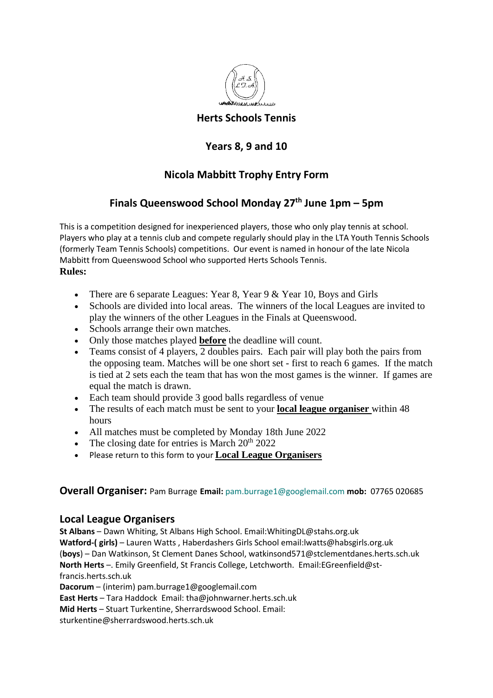

## **Herts Schools Tennis**

# **Years 8, 9 and 10**

# **Nicola Mabbitt Trophy Entry Form**

# **Finals Queenswood School Monday 27 th June 1pm – 5pm**

This is a competition designed for inexperienced players, those who only play tennis at school. Players who play at a tennis club and compete regularly should play in the LTA Youth Tennis Schools (formerly Team Tennis Schools) competitions. Our event is named in honour of the late Nicola Mabbitt from Queenswood School who supported Herts Schools Tennis. **Rules:** 

- There are 6 separate Leagues: Year 8, Year 9 & Year 10, Boys and Girls
- Schools are divided into local areas. The winners of the local Leagues are invited to play the winners of the other Leagues in the Finals at Queenswood.
- Schools arrange their own matches.
- Only those matches played **before** the deadline will count.
- Teams consist of 4 players, 2 doubles pairs. Each pair will play both the pairs from the opposing team. Matches will be one short set - first to reach 6 games. If the match is tied at 2 sets each the team that has won the most games is the winner. If games are equal the match is drawn.
- Each team should provide 3 good balls regardless of venue
- The results of each match must be sent to your **local league organiser** within 48 hours
- All matches must be completed by Monday 18th June 2022
- The closing date for entries is March  $20^{th}$   $2022$
- Please return to this form to your **Local League Organisers**

#### **Overall Organiser:** Pam Burrage **Email:** [pam.burrage1@googlemail.com](mailto:pam.burrage1@googlemail.com) **mob:** 07765 020685

### **Local League Organisers**

**St Albans** – Dawn Whiting, St Albans High School. Email:WhitingDL@stahs.org.uk **Watford-( girls)** – Lauren Watts , Haberdashers Girls School email:lwatts@habsgirls.org.uk (**boys**) – Dan Watkinson, St Clement Danes School, watkinsond571@stclementdanes.herts.sch.uk **North Herts** –. Emily Greenfield, St Francis College, Letchworth. Email:EGreenfield@stfrancis.herts.sch.uk

**Dacorum** – (interim) pam.burrage1@googlemail.com

**East Herts** – Tara Haddock Email: tha@johnwarner.herts.sch.uk

**Mid Herts** – Stuart Turkentine, Sherrardswood School. Email:

sturkentine@sherrardswood.herts.sch.uk